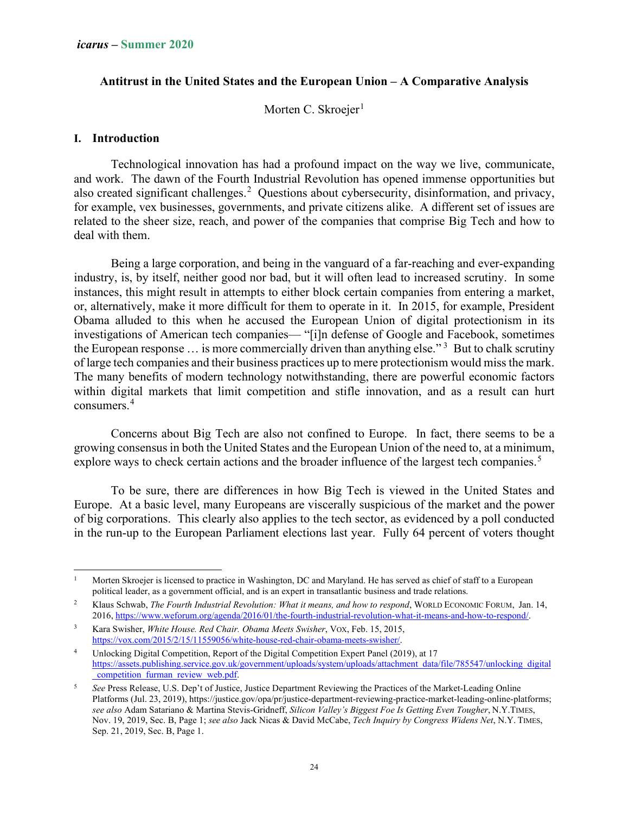# **Antitrust in the United States and the European Union – A Comparative Analysis**

Morten C. Skroejer<sup>1</sup>

#### **I. Introduction**

Technological innovation has had a profound impact on the way we live, communicate, and work. The dawn of the Fourth Industrial Revolution has opened immense opportunities but also created significant challenges.<sup>2</sup> Questions about cybersecurity, disinformation, and privacy, for example, vex businesses, governments, and private citizens alike. A different set of issues are related to the sheer size, reach, and power of the companies that comprise Big Tech and how to deal with them.

Being a large corporation, and being in the vanguard of a far-reaching and ever-expanding industry, is, by itself, neither good nor bad, but it will often lead to increased scrutiny. In some instances, this might result in attempts to either block certain companies from entering a market, or, alternatively, make it more difficult for them to operate in it. In 2015, for example, President Obama alluded to this when he accused the European Union of digital protectionism in its investigations of American tech companies— "[i]n defense of Google and Facebook, sometimes the European response  $\ldots$  is more commercially driven than anything else."<sup>3</sup> But to chalk scrutiny of large tech companies and their business practices up to mere protectionism would miss the mark. The many benefits of modern technology notwithstanding, there are powerful economic factors within digital markets that limit competition and stifle innovation, and as a result can hurt consumers.<sup>4</sup>

Concerns about Big Tech are also not confined to Europe. In fact, there seems to be a growing consensus in both the United States and the European Union of the need to, at a minimum, explore ways to check certain actions and the broader influence of the largest tech companies.<sup>5</sup>

To be sure, there are differences in how Big Tech is viewed in the United States and Europe. At a basic level, many Europeans are viscerally suspicious of the market and the power of big corporations. This clearly also applies to the tech sector, as evidenced by a poll conducted in the run-up to the European Parliament elections last year. Fully 64 percent of voters thought

<sup>1</sup> Morten Skroejer is licensed to practice in Washington, DC and Maryland. He has served as chief of staff to a European political leader, as a government official, and is an expert in transatlantic business and trade relations.

<sup>2</sup> Klaus Schwab, *The Fourth Industrial Revolution: What it means, and how to respond*, WORLD ECONOMIC FORUM, Jan. 14, 2016, https://www.weforum.org/agenda/2016/01/the-fourth-industrial-revolution-what-it-means-and-how-to-respond/.

<sup>3</sup> Kara Swisher, *White House. Red Chair. Obama Meets Swisher*, VOX, Feb. 15, 2015, https://vox.com/2015/2/15/11559056/white-house-red-chair-obama-meets-swisher/.

<sup>4</sup> Unlocking Digital Competition, Report of the Digital Competition Expert Panel (2019), at 17 https://assets.publishing.service.gov.uk/government/uploads/system/uploads/attachment\_data/file/785547/unlocking\_digital competition furman review web.pdf.

<sup>5</sup> *See* Press Release, U.S. Dep't of Justice, Justice Department Reviewing the Practices of the Market-Leading Online Platforms (Jul. 23, 2019), https://justice.gov/opa/pr/justice-department-reviewing-practice-market-leading-online-platforms; *see also* Adam Satariano & Martina Stevis-Gridneff, *Silicon Valley's Biggest Foe Is Getting Even Tougher*, N.Y.TIMES, Nov. 19, 2019, Sec. B, Page 1; *see also* Jack Nicas & David McCabe, *Tech Inquiry by Congress Widens Net*, N.Y. TIMES, Sep. 21, 2019, Sec. B, Page 1.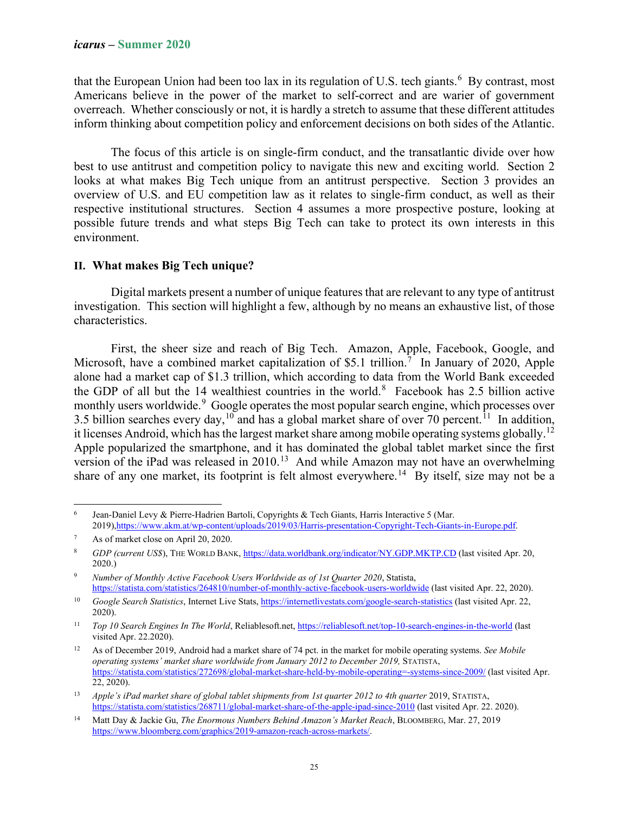that the European Union had been too lax in its regulation of U.S. tech giants.<sup>6</sup> By contrast, most Americans believe in the power of the market to self-correct and are warier of government overreach. Whether consciously or not, it is hardly a stretch to assume that these different attitudes inform thinking about competition policy and enforcement decisions on both sides of the Atlantic.

The focus of this article is on single-firm conduct, and the transatlantic divide over how best to use antitrust and competition policy to navigate this new and exciting world. Section 2 looks at what makes Big Tech unique from an antitrust perspective. Section 3 provides an overview of U.S. and EU competition law as it relates to single-firm conduct, as well as their respective institutional structures. Section 4 assumes a more prospective posture, looking at possible future trends and what steps Big Tech can take to protect its own interests in this environment.

# **II. What makes Big Tech unique?**

Digital markets present a number of unique features that are relevant to any type of antitrust investigation. This section will highlight a few, although by no means an exhaustive list, of those characteristics.

First, the sheer size and reach of Big Tech. Amazon, Apple, Facebook, Google, and Microsoft, have a combined market capitalization of \$5.1 trillion.<sup>7</sup> In January of 2020, Apple alone had a market cap of \$1.3 trillion, which according to data from the World Bank exceeded the GDP of all but the 14 wealthiest countries in the world.<sup>8</sup> Facebook has 2.5 billion active monthly users worldwide.<sup>9</sup> Google operates the most popular search engine, which processes over 3.5 billion searches every day,  $10^{\circ}$  and has a global market share of over 70 percent.<sup>11</sup> In addition, it licenses Android, which has the largest market share among mobile operating systems globally.<sup>12</sup> Apple popularized the smartphone, and it has dominated the global tablet market since the first version of the iPad was released in  $2010$ .<sup>13</sup> And while Amazon may not have an overwhelming share of any one market, its footprint is felt almost everywhere.<sup>14</sup> By itself, size may not be a

<sup>6</sup> Jean-Daniel Levy & Pierre-Hadrien Bartoli, Copyrights & Tech Giants, Harris Interactive 5 (Mar. 2019),https://www.akm.at/wp-content/uploads/2019/03/Harris-presentation-Copyright-Tech-Giants-in-Europe.pdf.

<sup>&</sup>lt;sup>7</sup> As of market close on April 20, 2020.

<sup>8</sup> *GDP (current US\$*), THE WORLD BANK, https://data.worldbank.org/indicator/NY.GDP.MKTP.CD (last visited Apr. 20, 2020.)

<sup>9</sup> *Number of Monthly Active Facebook Users Worldwide as of 1st Quarter 2020*, Statista, https://statista.com/statistics/264810/number-of-monthly-active-facebook-users-worldwide (last visited Apr. 22, 2020).

<sup>&</sup>lt;sup>10</sup> *Google Search Statistics*, Internet Live Stats, https://internetlivestats.com/google-search-statistics (last visited Apr. 22, 2020).

<sup>11</sup> *Top 10 Search Engines In The World*, Reliablesoft.net, https://reliablesoft.net/top-10-search-engines-in-the-world (last visited Apr. 22.2020).

<sup>12</sup> As of December 2019, Android had a market share of 74 pct. in the market for mobile operating systems. *See Mobile operating systems' market share worldwide from January 2012 to December 2019, STATISTA,* https://statista.com/statistics/272698/global-market-share-held-by-mobile-operating=-systems-since-2009/ (last visited Apr. 22, 2020).

<sup>&</sup>lt;sup>13</sup> *Apple's iPad market share of global tablet shipments from 1st quarter 2012 to 4th quarter 2019, STATISTA,* https://statista.com/statistics/268711/global-market-share-of-the-apple-ipad-since-2010 (last visited Apr. 22. 2020).

<sup>14</sup> Matt Day & Jackie Gu, *The Enormous Numbers Behind Amazon's Market Reach*, BLOOMBERG, Mar. 27, 2019 https://www.bloomberg.com/graphics/2019-amazon-reach-across-markets/.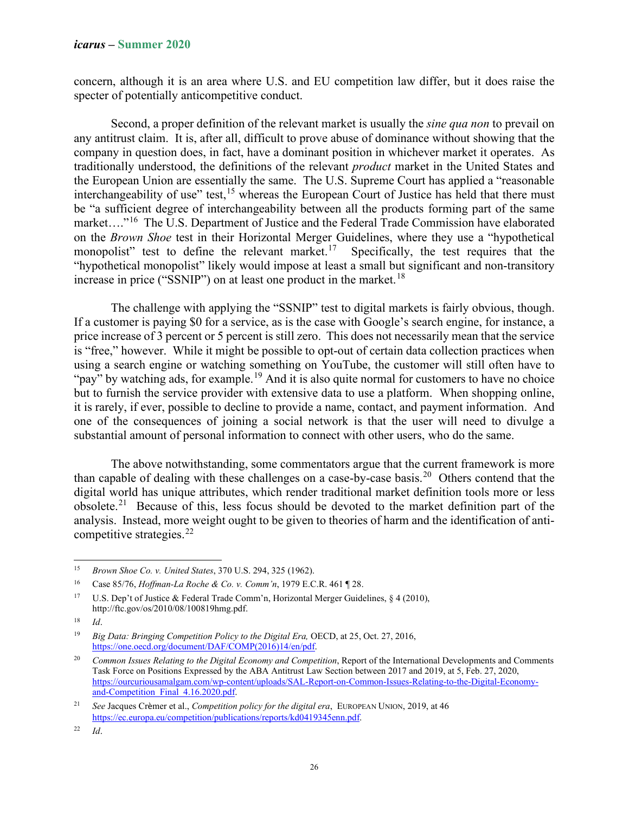concern, although it is an area where U.S. and EU competition law differ, but it does raise the specter of potentially anticompetitive conduct.

Second, a proper definition of the relevant market is usually the *sine qua non* to prevail on any antitrust claim. It is, after all, difficult to prove abuse of dominance without showing that the company in question does, in fact, have a dominant position in whichever market it operates. As traditionally understood, the definitions of the relevant *product* market in the United States and the European Union are essentially the same. The U.S. Supreme Court has applied a "reasonable interchangeability of use" test,<sup>15</sup> whereas the European Court of Justice has held that there must be "a sufficient degree of interchangeability between all the products forming part of the same market...."<sup>16</sup> The U.S. Department of Justice and the Federal Trade Commission have elaborated on the *Brown Shoe* test in their Horizontal Merger Guidelines, where they use a "hypothetical monopolist" test to define the relevant market.<sup>17</sup> Specifically, the test requires that the "hypothetical monopolist" likely would impose at least a small but significant and non-transitory increase in price ("SSNIP") on at least one product in the market.<sup>18</sup>

The challenge with applying the "SSNIP" test to digital markets is fairly obvious, though. If a customer is paying \$0 for a service, as is the case with Google's search engine, for instance, a price increase of 3 percent or 5 percent is still zero. This does not necessarily mean that the service is "free," however. While it might be possible to opt-out of certain data collection practices when using a search engine or watching something on YouTube, the customer will still often have to "pay" by watching ads, for example.<sup>19</sup> And it is also quite normal for customers to have no choice but to furnish the service provider with extensive data to use a platform. When shopping online, it is rarely, if ever, possible to decline to provide a name, contact, and payment information. And one of the consequences of joining a social network is that the user will need to divulge a substantial amount of personal information to connect with other users, who do the same.

The above notwithstanding, some commentators argue that the current framework is more than capable of dealing with these challenges on a case-by-case basis.<sup>20</sup> Others contend that the digital world has unique attributes, which render traditional market definition tools more or less obsolete.21 Because of this, less focus should be devoted to the market definition part of the analysis. Instead, more weight ought to be given to theories of harm and the identification of anticompetitive strategies.<sup>22</sup>

<sup>15</sup> *Brown Shoe Co. v. United States*, 370 U.S. 294, 325 (1962).

<sup>16</sup> Case 85/76, *Hoffman-La Roche & Co. v. Comm'n*, 1979 E.C.R. 461 ¶ 28.

<sup>&</sup>lt;sup>17</sup> U.S. Dep't of Justice & Federal Trade Comm'n, Horizontal Merger Guidelines, § 4 (2010), http://ftc.gov/os/2010/08/100819hmg.pdf.

<sup>18</sup> *Id*.

<sup>&</sup>lt;sup>19</sup> *Big Data: Bringing Competition Policy to the Digital Era, OECD, at 25, Oct. 27, 2016,* https://one.oecd.org/document/DAF/COMP(2016)14/en/pdf.

<sup>20</sup> *Common Issues Relating to the Digital Economy and Competition*, Report of the International Developments and Comments Task Force on Positions Expressed by the ABA Antitrust Law Section between 2017 and 2019, at 5, Feb. 27, 2020, https://ourcuriousamalgam.com/wp-content/uploads/SAL-Report-on-Common-Issues-Relating-to-the-Digital-Economyand-Competition\_Final\_4.16.2020.pdf.

<sup>21</sup> *See* Jacques Crèmer et al., *Competition policy for the digital era*, EUROPEAN UNION, 2019, at 46 https://ec.europa.eu/competition/publications/reports/kd0419345enn.pdf.

<sup>22</sup> *Id*.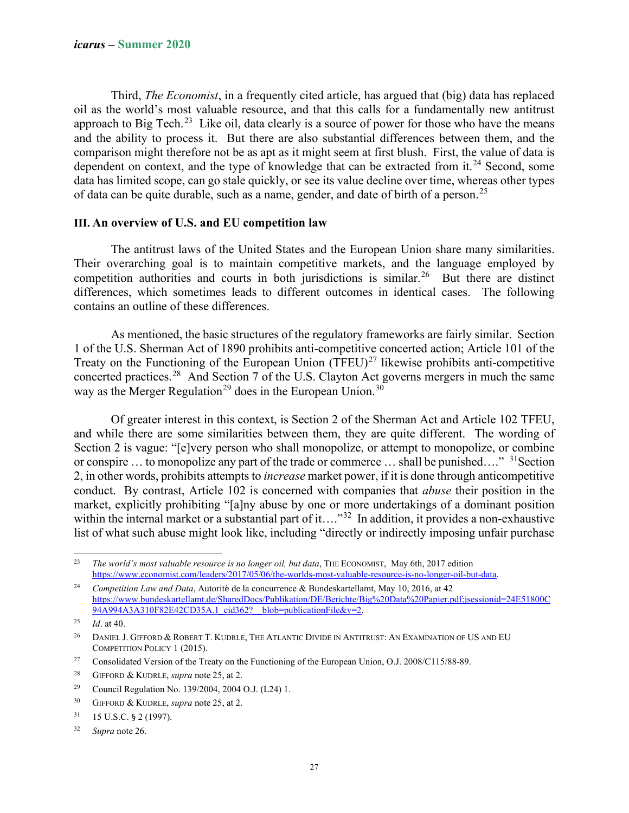Third, *The Economist*, in a frequently cited article, has argued that (big) data has replaced oil as the world's most valuable resource, and that this calls for a fundamentally new antitrust approach to Big Tech.<sup>23</sup> Like oil, data clearly is a source of power for those who have the means and the ability to process it. But there are also substantial differences between them, and the comparison might therefore not be as apt as it might seem at first blush. First, the value of data is dependent on context, and the type of knowledge that can be extracted from it.<sup>24</sup> Second, some data has limited scope, can go stale quickly, or see its value decline over time, whereas other types of data can be quite durable, such as a name, gender, and date of birth of a person.<sup>25</sup>

## **III. An overview of U.S. and EU competition law**

The antitrust laws of the United States and the European Union share many similarities. Their overarching goal is to maintain competitive markets, and the language employed by competition authorities and courts in both jurisdictions is similar.<sup>26</sup> But there are distinct differences, which sometimes leads to different outcomes in identical cases. The following contains an outline of these differences.

As mentioned, the basic structures of the regulatory frameworks are fairly similar. Section 1 of the U.S. Sherman Act of 1890 prohibits anti-competitive concerted action; Article 101 of the Treaty on the Functioning of the European Union  $(TFEU)^{27}$  likewise prohibits anti-competitive concerted practices.28 And Section 7 of the U.S. Clayton Act governs mergers in much the same way as the Merger Regulation<sup>29</sup> does in the European Union.<sup>30</sup>

Of greater interest in this context, is Section 2 of the Sherman Act and Article 102 TFEU, and while there are some similarities between them, they are quite different. The wording of Section 2 is vague: "[e]very person who shall monopolize, or attempt to monopolize, or combine or conspire  $\ldots$  to monopolize any part of the trade or commerce  $\ldots$  shall be punished...." <sup>31</sup>Section 2, in other words, prohibits attempts to *increase* market power, if it is done through anticompetitive conduct. By contrast, Article 102 is concerned with companies that *abuse* their position in the market, explicitly prohibiting "[a]ny abuse by one or more undertakings of a dominant position within the internal market or a substantial part of it…."<sup>32</sup> In addition, it provides a non-exhaustive list of what such abuse might look like, including "directly or indirectly imposing unfair purchase

<sup>&</sup>lt;sup>23</sup> *The world's most valuable resource is no longer oil, but data*, THE ECONOMIST, May 6th, 2017 edition https://www.economist.com/leaders/2017/05/06/the-worlds-most-valuable-resource-is-no-longer-oil-but-data.

<sup>24</sup> *Competition Law and Data*, Autoritè de la concurrence & Bundeskartellamt, May 10, 2016, at 42 https://www.bundeskartellamt.de/SharedDocs/Publikation/DE/Berichte/Big%20Data%20Papier.pdf;jsessionid=24E51800C 94A994A3A310F82E42CD35A.1\_cid362?\_\_blob=publicationFile&v=2.

<sup>25</sup> *Id*. at 40.

<sup>&</sup>lt;sup>26</sup> DANIEL J. GIFFORD & ROBERT T. KUDRLE, THE ATLANTIC DIVIDE IN ANTITRUST: AN EXAMINATION OF US AND EU COMPETITION POLICY 1 (2015).

<sup>&</sup>lt;sup>27</sup> Consolidated Version of the Treaty on the Functioning of the European Union, O.J. 2008/C115/88-89.

<sup>28</sup> GIFFORD & KUDRLE, *supra* note 25, at 2.

<sup>29</sup> Council Regulation No. 139/2004, 2004 O.J. (L24) 1.

<sup>30</sup> GIFFORD & KUDRLE, *supra* note 25, at 2.

 $31$  15 U.S.C. § 2 (1997).

<sup>32</sup> *Supra* note 26.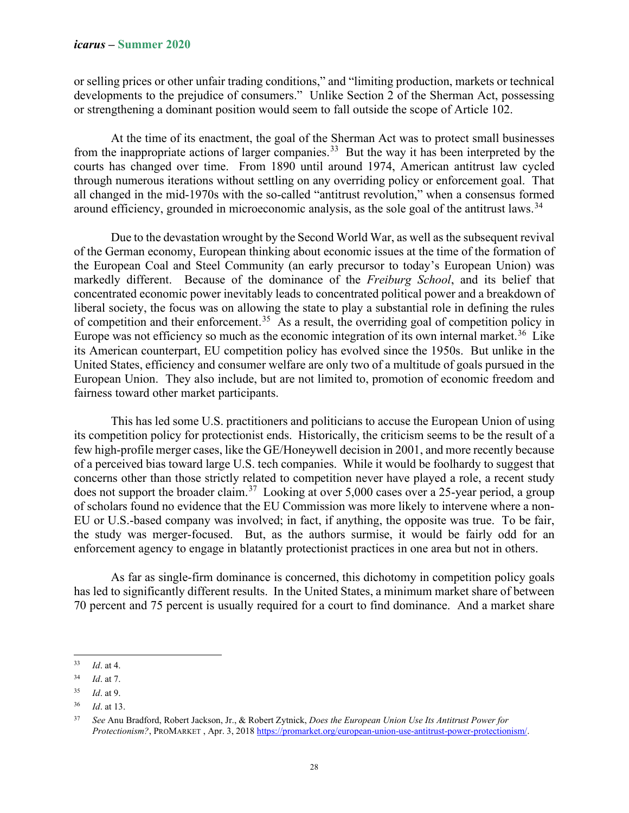or selling prices or other unfair trading conditions," and "limiting production, markets or technical developments to the prejudice of consumers." Unlike Section 2 of the Sherman Act, possessing or strengthening a dominant position would seem to fall outside the scope of Article 102.

At the time of its enactment, the goal of the Sherman Act was to protect small businesses from the inappropriate actions of larger companies.<sup>33</sup> But the way it has been interpreted by the courts has changed over time. From 1890 until around 1974, American antitrust law cycled through numerous iterations without settling on any overriding policy or enforcement goal. That all changed in the mid-1970s with the so-called "antitrust revolution," when a consensus formed around efficiency, grounded in microeconomic analysis, as the sole goal of the antitrust laws.<sup>34</sup>

Due to the devastation wrought by the Second World War, as well as the subsequent revival of the German economy, European thinking about economic issues at the time of the formation of the European Coal and Steel Community (an early precursor to today's European Union) was markedly different. Because of the dominance of the *Freiburg School*, and its belief that concentrated economic power inevitably leads to concentrated political power and a breakdown of liberal society, the focus was on allowing the state to play a substantial role in defining the rules of competition and their enforcement.<sup>35</sup> As a result, the overriding goal of competition policy in Europe was not efficiency so much as the economic integration of its own internal market.<sup>36</sup> Like its American counterpart, EU competition policy has evolved since the 1950s. But unlike in the United States, efficiency and consumer welfare are only two of a multitude of goals pursued in the European Union. They also include, but are not limited to, promotion of economic freedom and fairness toward other market participants.

This has led some U.S. practitioners and politicians to accuse the European Union of using its competition policy for protectionist ends. Historically, the criticism seems to be the result of a few high-profile merger cases, like the GE/Honeywell decision in 2001, and more recently because of a perceived bias toward large U.S. tech companies. While it would be foolhardy to suggest that concerns other than those strictly related to competition never have played a role, a recent study does not support the broader claim.<sup>37</sup> Looking at over 5,000 cases over a 25-year period, a group of scholars found no evidence that the EU Commission was more likely to intervene where a non-EU or U.S.-based company was involved; in fact, if anything, the opposite was true. To be fair, the study was merger-focused. But, as the authors surmise, it would be fairly odd for an enforcement agency to engage in blatantly protectionist practices in one area but not in others.

As far as single-firm dominance is concerned, this dichotomy in competition policy goals has led to significantly different results. In the United States, a minimum market share of between 70 percent and 75 percent is usually required for a court to find dominance. And a market share

<sup>33</sup> *Id*. at 4.

<sup>34</sup> *Id*. at 7.

<sup>35</sup> *Id*. at 9.

<sup>36</sup> *Id*. at 13.

<sup>37</sup> *See* Anu Bradford, Robert Jackson, Jr., & Robert Zytnick, *Does the European Union Use Its Antitrust Power for Protectionism?*, PROMARKET , Apr. 3, 2018 https://promarket.org/european-union-use-antitrust-power-protectionism/.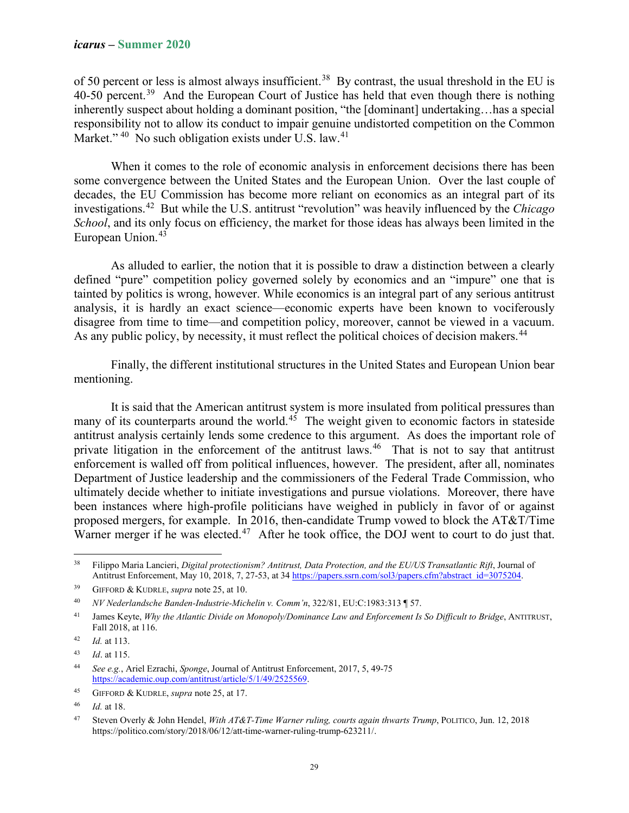#### *icarus* **– Summer 2020**

of 50 percent or less is almost always insufficient.<sup>38</sup> By contrast, the usual threshold in the EU is  $40-50$  percent.<sup>39</sup> And the European Court of Justice has held that even though there is nothing inherently suspect about holding a dominant position, "the [dominant] undertaking…has a special responsibility not to allow its conduct to impair genuine undistorted competition on the Common Market."  $40$  No such obligation exists under U.S. law.  $41$ 

When it comes to the role of economic analysis in enforcement decisions there has been some convergence between the United States and the European Union. Over the last couple of decades, the EU Commission has become more reliant on economics as an integral part of its investigations.42 But while the U.S. antitrust "revolution" was heavily influenced by the *Chicago School*, and its only focus on efficiency, the market for those ideas has always been limited in the European Union.<sup>43</sup>

As alluded to earlier, the notion that it is possible to draw a distinction between a clearly defined "pure" competition policy governed solely by economics and an "impure" one that is tainted by politics is wrong, however. While economics is an integral part of any serious antitrust analysis, it is hardly an exact science—economic experts have been known to vociferously disagree from time to time—and competition policy, moreover, cannot be viewed in a vacuum. As any public policy, by necessity, it must reflect the political choices of decision makers.<sup>44</sup>

Finally, the different institutional structures in the United States and European Union bear mentioning.

It is said that the American antitrust system is more insulated from political pressures than many of its counterparts around the world.<sup>45</sup> The weight given to economic factors in stateside antitrust analysis certainly lends some credence to this argument. As does the important role of private litigation in the enforcement of the antitrust laws.<sup>46</sup> That is not to say that antitrust enforcement is walled off from political influences, however. The president, after all, nominates Department of Justice leadership and the commissioners of the Federal Trade Commission, who ultimately decide whether to initiate investigations and pursue violations. Moreover, there have been instances where high-profile politicians have weighed in publicly in favor of or against proposed mergers, for example. In 2016, then-candidate Trump vowed to block the AT&T/Time Warner merger if he was elected.<sup>47</sup> After he took office, the DOJ went to court to do just that.

<sup>&</sup>lt;sup>38</sup> Filippo Maria Lancieri, *Digital protectionism? Antitrust, Data Protection, and the EU/US Transatlantic Rift*, Journal of Antitrust Enforcement, May 10, 2018, 7, 27-53, at 34 https://papers.ssrn.com/sol3/papers.cfm?abstract\_id=3075204.

<sup>39</sup> GIFFORD & KUDRLE, *supra* note 25, at 10.

<sup>40</sup> *NV Nederlandsche Banden-Industrie-Michelin v. Comm'n*, 322/81, EU:C:1983:313 ¶ 57.

<sup>41</sup> James Keyte, *Why the Atlantic Divide on Monopoly/Dominance Law and Enforcement Is So Difficult to Bridge*, ANTITRUST, Fall 2018, at 116.

<sup>42</sup> *Id.* at 113.

<sup>43</sup> *Id*. at 115.

<sup>44</sup> *See e.g.*, Ariel Ezrachi, *Sponge*, Journal of Antitrust Enforcement, 2017, 5, 49-75 https://academic.oup.com/antitrust/article/5/1/49/2525569.

<sup>45</sup> GIFFORD & KUDRLE, *supra* note 25, at 17.

<sup>46</sup> *Id.* at 18.

<sup>47</sup> Steven Overly & John Hendel, *With AT&T-Time Warner ruling, courts again thwarts Trump*, POLITICO, Jun. 12, 2018 https://politico.com/story/2018/06/12/att-time-warner-ruling-trump-623211/.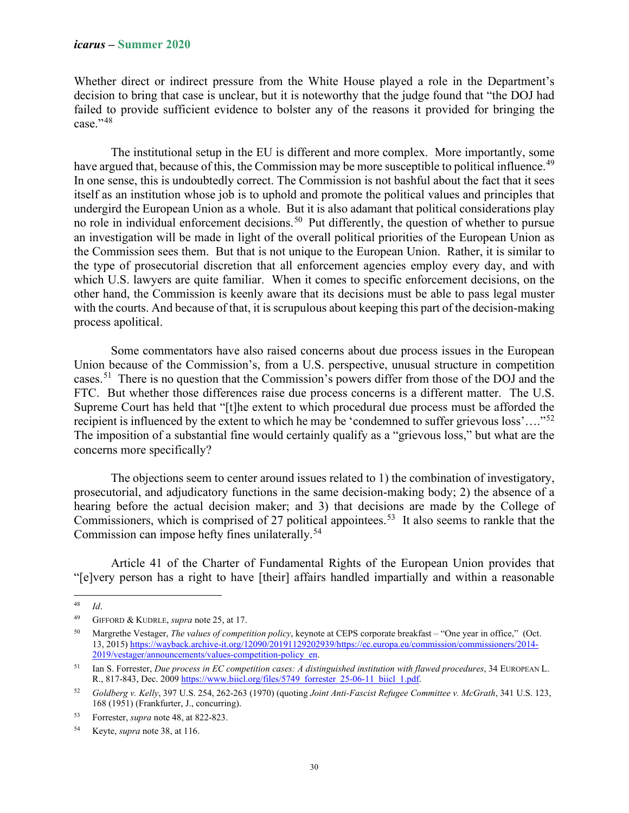Whether direct or indirect pressure from the White House played a role in the Department's decision to bring that case is unclear, but it is noteworthy that the judge found that "the DOJ had failed to provide sufficient evidence to bolster any of the reasons it provided for bringing the  $case.$ "<sup>48</sup>

The institutional setup in the EU is different and more complex. More importantly, some have argued that, because of this, the Commission may be more susceptible to political influence.<sup>49</sup> In one sense, this is undoubtedly correct. The Commission is not bashful about the fact that it sees itself as an institution whose job is to uphold and promote the political values and principles that undergird the European Union as a whole. But it is also adamant that political considerations play no role in individual enforcement decisions.<sup>50</sup> Put differently, the question of whether to pursue an investigation will be made in light of the overall political priorities of the European Union as the Commission sees them. But that is not unique to the European Union. Rather, it is similar to the type of prosecutorial discretion that all enforcement agencies employ every day, and with which U.S. lawyers are quite familiar. When it comes to specific enforcement decisions, on the other hand, the Commission is keenly aware that its decisions must be able to pass legal muster with the courts. And because of that, it is scrupulous about keeping this part of the decision-making process apolitical.

Some commentators have also raised concerns about due process issues in the European Union because of the Commission's, from a U.S. perspective, unusual structure in competition cases.<sup>51</sup> There is no question that the Commission's powers differ from those of the DOJ and the FTC. But whether those differences raise due process concerns is a different matter. The U.S. Supreme Court has held that "[t]he extent to which procedural due process must be afforded the recipient is influenced by the extent to which he may be 'condemned to suffer grievous loss'...."<sup>52</sup> The imposition of a substantial fine would certainly qualify as a "grievous loss," but what are the concerns more specifically?

The objections seem to center around issues related to 1) the combination of investigatory, prosecutorial, and adjudicatory functions in the same decision-making body; 2) the absence of a hearing before the actual decision maker; and 3) that decisions are made by the College of Commissioners, which is comprised of 27 political appointees.<sup>53</sup> It also seems to rankle that the Commission can impose hefty fines unilaterally.<sup>54</sup>

Article 41 of the Charter of Fundamental Rights of the European Union provides that "[e]very person has a right to have [their] affairs handled impartially and within a reasonable

<sup>48</sup> *Id*.

<sup>49</sup> GIFFORD & KUDRLE, *supra* note 25, at 17.

<sup>50</sup> Margrethe Vestager, *The values of competition policy*, keynote at CEPS corporate breakfast – "One year in office," (Oct. 13, 2015) https://wayback.archive-it.org/12090/20191129202939/https://ec.europa.eu/commission/commissioners/2014- 2019/vestager/announcements/values-competition-policy\_en.

<sup>51</sup> Ian S. Forrester, *Due process in EC competition cases: A distinguished institution with flawed procedures*, 34 EUROPEAN L. R., 817-843, Dec. 2009 https://www.biicl.org/files/5749\_forrester\_25-06-11\_biicl\_1.pdf.

<sup>52</sup> *Goldberg v. Kelly*, 397 U.S. 254, 262-263 (1970) (quoting *Joint Anti-Fascist Refugee Committee v. McGrath*, 341 U.S. 123, 168 (1951) (Frankfurter, J., concurring).

<sup>53</sup> Forrester, *supra* note 48, at 822-823.

<sup>54</sup> Keyte, *supra* note 38, at 116.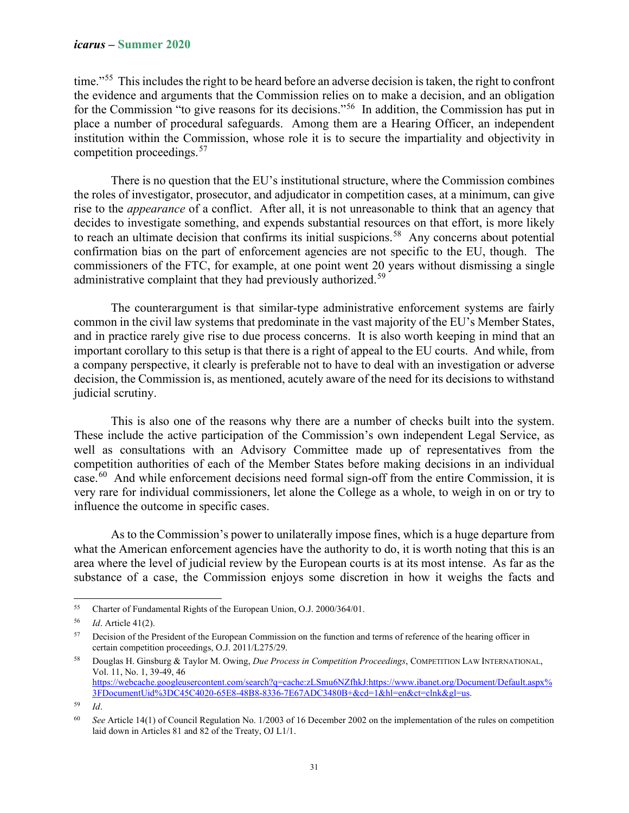time."<sup>55</sup> This includes the right to be heard before an adverse decision is taken, the right to confront the evidence and arguments that the Commission relies on to make a decision, and an obligation for the Commission "to give reasons for its decisions."<sup>56</sup> In addition, the Commission has put in place a number of procedural safeguards. Among them are a Hearing Officer, an independent institution within the Commission, whose role it is to secure the impartiality and objectivity in competition proceedings.<sup>57</sup>

There is no question that the EU's institutional structure, where the Commission combines the roles of investigator, prosecutor, and adjudicator in competition cases, at a minimum, can give rise to the *appearance* of a conflict. After all, it is not unreasonable to think that an agency that decides to investigate something, and expends substantial resources on that effort, is more likely to reach an ultimate decision that confirms its initial suspicions.<sup>58</sup> Any concerns about potential confirmation bias on the part of enforcement agencies are not specific to the EU, though. The commissioners of the FTC, for example, at one point went 20 years without dismissing a single administrative complaint that they had previously authorized.<sup>59</sup>

The counterargument is that similar-type administrative enforcement systems are fairly common in the civil law systems that predominate in the vast majority of the EU's Member States, and in practice rarely give rise to due process concerns. It is also worth keeping in mind that an important corollary to this setup is that there is a right of appeal to the EU courts. And while, from a company perspective, it clearly is preferable not to have to deal with an investigation or adverse decision, the Commission is, as mentioned, acutely aware of the need for its decisions to withstand judicial scrutiny.

This is also one of the reasons why there are a number of checks built into the system. These include the active participation of the Commission's own independent Legal Service, as well as consultations with an Advisory Committee made up of representatives from the competition authorities of each of the Member States before making decisions in an individual  $case<sup>60</sup>$  And while enforcement decisions need formal sign-off from the entire Commission, it is very rare for individual commissioners, let alone the College as a whole, to weigh in on or try to influence the outcome in specific cases.

As to the Commission's power to unilaterally impose fines, which is a huge departure from what the American enforcement agencies have the authority to do, it is worth noting that this is an area where the level of judicial review by the European courts is at its most intense. As far as the substance of a case, the Commission enjoys some discretion in how it weighs the facts and

<sup>55</sup> Charter of Fundamental Rights of the European Union, O.J. 2000/364/01.

<sup>56</sup> *Id*. Article 41(2).

<sup>&</sup>lt;sup>57</sup> Decision of the President of the European Commission on the function and terms of reference of the hearing officer in certain competition proceedings, O.J. 2011/L275/29.

<sup>58</sup> Douglas H. Ginsburg & Taylor M. Owing, *Due Process in Competition Proceedings*, COMPETITION LAW INTERNATIONAL, Vol. 11, No. 1, 39-49, 46 https://webcache.googleusercontent.com/search?q=cache:zLSmu6NZfhkJ:https://www.ibanet.org/Document/Default.aspx% 3FDocumentUid%3DC45C4020-65E8-48B8-8336-7E67ADC3480B+&cd=1&hl=en&ct=clnk&gl=us.

<sup>59</sup> *Id*.

<sup>60</sup> *See* Article 14(1) of Council Regulation No. 1/2003 of 16 December 2002 on the implementation of the rules on competition laid down in Articles 81 and 82 of the Treaty, OJ L1/1.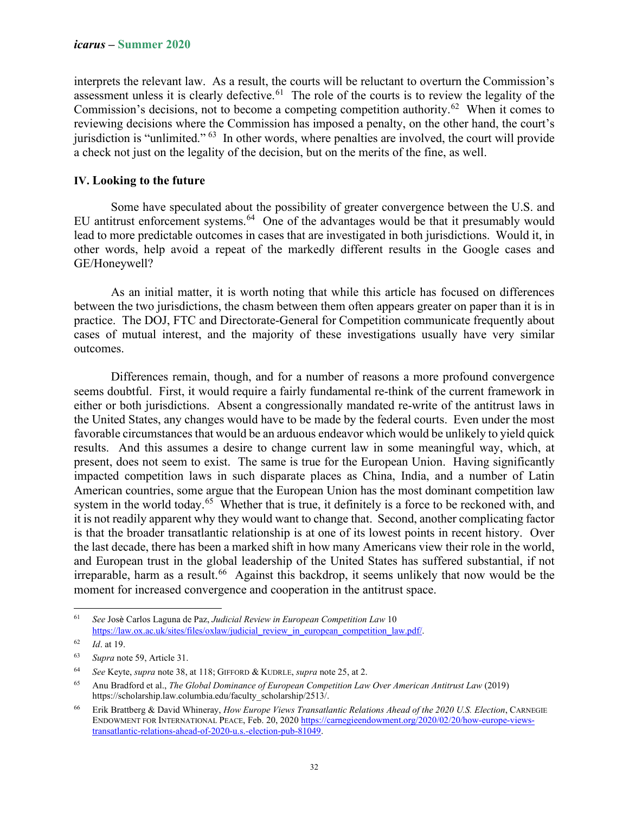interprets the relevant law. As a result, the courts will be reluctant to overturn the Commission's assessment unless it is clearly defective.<sup>61</sup> The role of the courts is to review the legality of the Commission's decisions, not to become a competing competition authority.<sup>62</sup> When it comes to reviewing decisions where the Commission has imposed a penalty, on the other hand, the court's jurisdiction is "unlimited." 63 In other words, where penalties are involved, the court will provide a check not just on the legality of the decision, but on the merits of the fine, as well.

## **IV. Looking to the future**

Some have speculated about the possibility of greater convergence between the U.S. and EU antitrust enforcement systems. $64$  One of the advantages would be that it presumably would lead to more predictable outcomes in cases that are investigated in both jurisdictions. Would it, in other words, help avoid a repeat of the markedly different results in the Google cases and GE/Honeywell?

As an initial matter, it is worth noting that while this article has focused on differences between the two jurisdictions, the chasm between them often appears greater on paper than it is in practice. The DOJ, FTC and Directorate-General for Competition communicate frequently about cases of mutual interest, and the majority of these investigations usually have very similar outcomes.

Differences remain, though, and for a number of reasons a more profound convergence seems doubtful. First, it would require a fairly fundamental re-think of the current framework in either or both jurisdictions. Absent a congressionally mandated re-write of the antitrust laws in the United States, any changes would have to be made by the federal courts. Even under the most favorable circumstances that would be an arduous endeavor which would be unlikely to yield quick results. And this assumes a desire to change current law in some meaningful way, which, at present, does not seem to exist. The same is true for the European Union. Having significantly impacted competition laws in such disparate places as China, India, and a number of Latin American countries, some argue that the European Union has the most dominant competition law system in the world today.<sup>65</sup> Whether that is true, it definitely is a force to be reckoned with, and it is not readily apparent why they would want to change that. Second, another complicating factor is that the broader transatlantic relationship is at one of its lowest points in recent history. Over the last decade, there has been a marked shift in how many Americans view their role in the world, and European trust in the global leadership of the United States has suffered substantial, if not irreparable, harm as a result.<sup>66</sup> Against this backdrop, it seems unlikely that now would be the moment for increased convergence and cooperation in the antitrust space.

<sup>61</sup> *See* Josè Carlos Laguna de Paz, *Judicial Review in European Competition Law* 10 https://law.ox.ac.uk/sites/files/oxlaw/judicial\_review\_in\_european\_competition\_law.pdf/.

<sup>62</sup> *Id*. at 19.

<sup>63</sup> *Supra* note 59, Article 31.

<sup>64</sup> *See* Keyte, *supra* note 38, at 118; GIFFORD & KUDRLE, *supra* note 25, at 2.

<sup>65</sup> Anu Bradford et al., *The Global Dominance of European Competition Law Over American Antitrust Law* (2019) https://scholarship.law.columbia.edu/faculty\_scholarship/2513/.

<sup>66</sup> Erik Brattberg & David Whineray, *How Europe Views Transatlantic Relations Ahead of the 2020 U.S. Election*, CARNEGIE ENDOWMENT FOR INTERNATIONAL PEACE, Feb. 20, 2020 https://carnegieendowment.org/2020/02/20/how-europe-viewstransatlantic-relations-ahead-of-2020-u.s.-election-pub-81049.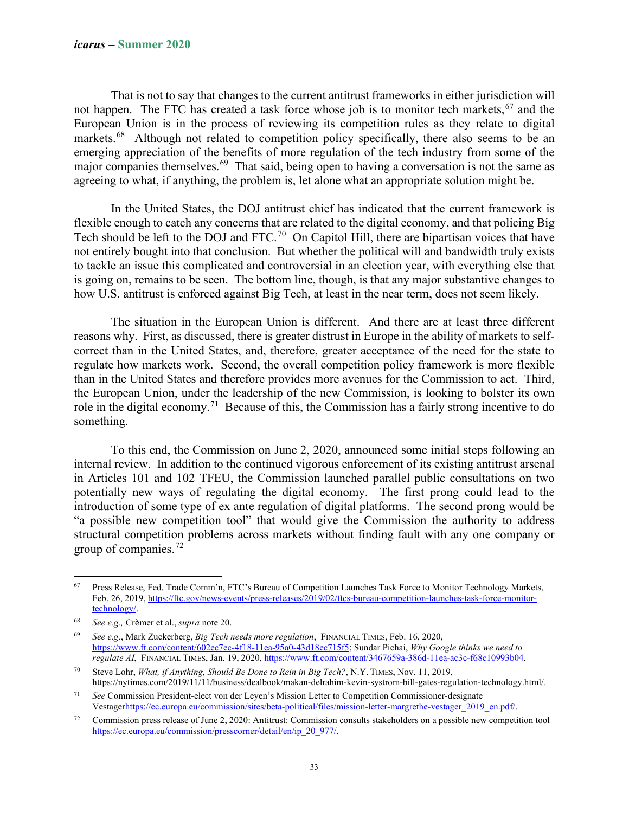That is not to say that changes to the current antitrust frameworks in either jurisdiction will not happen. The FTC has created a task force whose job is to monitor tech markets, <sup>67</sup> and the European Union is in the process of reviewing its competition rules as they relate to digital markets.<sup>68</sup> Although not related to competition policy specifically, there also seems to be an emerging appreciation of the benefits of more regulation of the tech industry from some of the major companies themselves.<sup>69</sup> That said, being open to having a conversation is not the same as agreeing to what, if anything, the problem is, let alone what an appropriate solution might be.

In the United States, the DOJ antitrust chief has indicated that the current framework is flexible enough to catch any concerns that are related to the digital economy, and that policing Big Tech should be left to the DOJ and FTC.<sup>70</sup> On Capitol Hill, there are bipartisan voices that have not entirely bought into that conclusion. But whether the political will and bandwidth truly exists to tackle an issue this complicated and controversial in an election year, with everything else that is going on, remains to be seen. The bottom line, though, is that any major substantive changes to how U.S. antitrust is enforced against Big Tech, at least in the near term, does not seem likely.

The situation in the European Union is different. And there are at least three different reasons why. First, as discussed, there is greater distrust in Europe in the ability of markets to selfcorrect than in the United States, and, therefore, greater acceptance of the need for the state to regulate how markets work. Second, the overall competition policy framework is more flexible than in the United States and therefore provides more avenues for the Commission to act. Third, the European Union, under the leadership of the new Commission, is looking to bolster its own role in the digital economy.<sup>71</sup> Because of this, the Commission has a fairly strong incentive to do something.

To this end, the Commission on June 2, 2020, announced some initial steps following an internal review. In addition to the continued vigorous enforcement of its existing antitrust arsenal in Articles 101 and 102 TFEU, the Commission launched parallel public consultations on two potentially new ways of regulating the digital economy. The first prong could lead to the introduction of some type of ex ante regulation of digital platforms. The second prong would be "a possible new competition tool" that would give the Commission the authority to address structural competition problems across markets without finding fault with any one company or group of companies. $^{72}$ 

<sup>67</sup> Press Release, Fed. Trade Comm'n, FTC's Bureau of Competition Launches Task Force to Monitor Technology Markets, Feb. 26, 2019, https://ftc.gov/news-events/press-releases/2019/02/ftcs-bureau-competition-launches-task-force-monitortechnology/.

<sup>68</sup> *See e.g.,* Crèmer et al., *supra* note 20.

<sup>69</sup> *See e.g.*, Mark Zuckerberg, *Big Tech needs more regulation*, FINANCIAL TIMES, Feb. 16, 2020, https://www.ft.com/content/602ec7ec-4f18-11ea-95a0-43d18ec715f5; Sundar Pichai, *Why Google thinks we need to regulate AI*, FINANCIAL TIMES, Jan. 19, 2020, https://www.ft.com/content/3467659a-386d-11ea-ac3c-f68c10993b04.

<sup>70</sup> Steve Lohr, *What, if Anything, Should Be Done to Rein in Big Tech?*, N.Y. TIMES, Nov. 11, 2019, https://nytimes.com/2019/11/11/business/dealbook/makan-delrahim-kevin-systrom-bill-gates-regulation-technology.html/.

<sup>71</sup> *See* Commission President-elect von der Leyen's Mission Letter to Competition Commissioner-designate Vestagerhttps://ec.europa.eu/commission/sites/beta-political/files/mission-letter-margrethe-vestager\_2019\_en.pdf/.

<sup>72</sup> Commission press release of June 2, 2020: Antitrust: Commission consults stakeholders on a possible new competition tool https://ec.europa.eu/commission/presscorner/detail/en/ip\_20\_977/.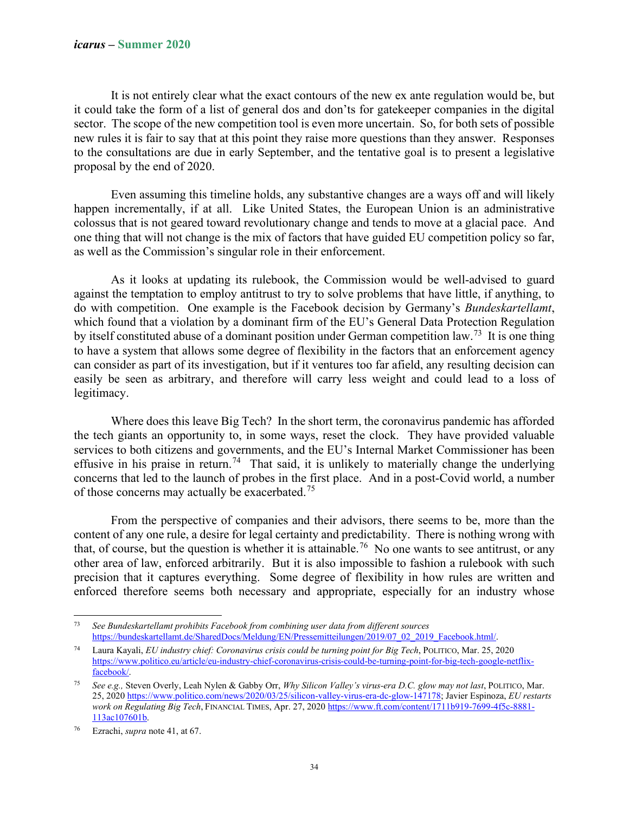It is not entirely clear what the exact contours of the new ex ante regulation would be, but it could take the form of a list of general dos and don'ts for gatekeeper companies in the digital sector. The scope of the new competition tool is even more uncertain. So, for both sets of possible new rules it is fair to say that at this point they raise more questions than they answer. Responses to the consultations are due in early September, and the tentative goal is to present a legislative proposal by the end of 2020.

Even assuming this timeline holds, any substantive changes are a ways off and will likely happen incrementally, if at all. Like United States, the European Union is an administrative colossus that is not geared toward revolutionary change and tends to move at a glacial pace. And one thing that will not change is the mix of factors that have guided EU competition policy so far, as well as the Commission's singular role in their enforcement.

As it looks at updating its rulebook, the Commission would be well-advised to guard against the temptation to employ antitrust to try to solve problems that have little, if anything, to do with competition. One example is the Facebook decision by Germany's *Bundeskartellamt*, which found that a violation by a dominant firm of the EU's General Data Protection Regulation by itself constituted abuse of a dominant position under German competition law.<sup>73</sup> It is one thing to have a system that allows some degree of flexibility in the factors that an enforcement agency can consider as part of its investigation, but if it ventures too far afield, any resulting decision can easily be seen as arbitrary, and therefore will carry less weight and could lead to a loss of legitimacy.

Where does this leave Big Tech? In the short term, the coronavirus pandemic has afforded the tech giants an opportunity to, in some ways, reset the clock. They have provided valuable services to both citizens and governments, and the EU's Internal Market Commissioner has been effusive in his praise in return.<sup>74</sup> That said, it is unlikely to materially change the underlying concerns that led to the launch of probes in the first place. And in a post-Covid world, a number of those concerns may actually be exacerbated.<sup>75</sup>

From the perspective of companies and their advisors, there seems to be, more than the content of any one rule, a desire for legal certainty and predictability. There is nothing wrong with that, of course, but the question is whether it is attainable.<sup>76</sup> No one wants to see antitrust, or any other area of law, enforced arbitrarily. But it is also impossible to fashion a rulebook with such precision that it captures everything. Some degree of flexibility in how rules are written and enforced therefore seems both necessary and appropriate, especially for an industry whose

<sup>73</sup> *See Bundeskartellamt prohibits Facebook from combining user data from different sources* https://bundeskartellamt.de/SharedDocs/Meldung/EN/Pressemitteilungen/2019/07\_02\_2019\_Facebook.html/.

<sup>74</sup> Laura Kayali, *EU industry chief: Coronavirus crisis could be turning point for Big Tech*, POLITICO, Mar. 25, 2020 https://www.politico.eu/article/eu-industry-chief-coronavirus-crisis-could-be-turning-point-for-big-tech-google-netflixfacebook/.

<sup>75</sup> *See e.g.,* Steven Overly, Leah Nylen & Gabby Orr, *Why Silicon Valley's virus-era D.C. glow may not last*, POLITICO, Mar. 25, 2020 https://www.politico.com/news/2020/03/25/silicon-valley-virus-era-dc-glow-147178; Javier Espinoza, *EU restarts work on Regulating Big Tech*, FINANCIAL TIMES, Apr. 27, 2020 https://www.ft.com/content/1711b919-7699-4f5c-8881- 113ac107601b.

<sup>76</sup> Ezrachi, *supra* note 41, at 67.